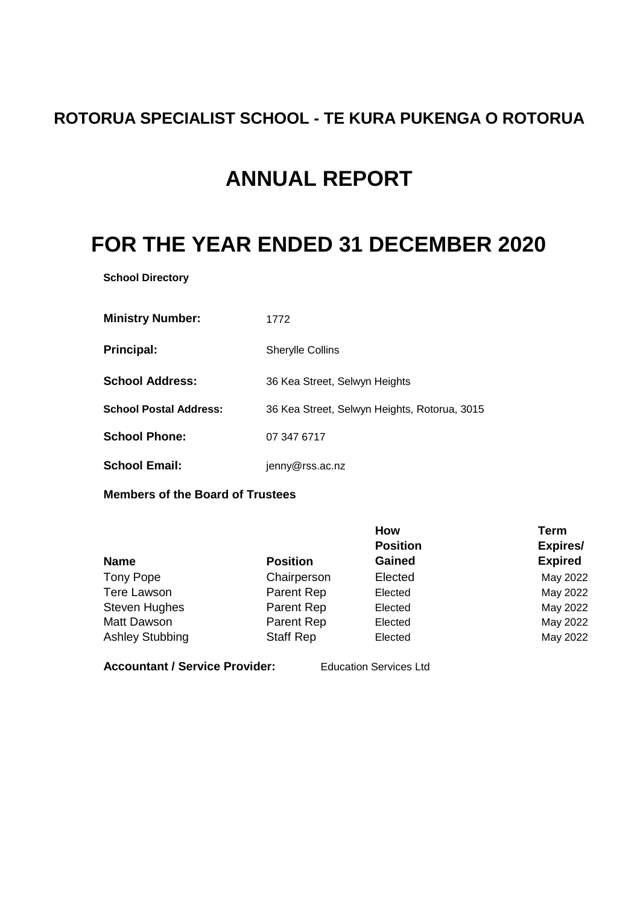# **ROTORUA SPECIALIST SCHOOL - TE KURA PUKENGA O ROTORUA**

# **ANNUAL REPORT**

# **FOR THE YEAR ENDED 31 DECEMBER 2020**

**School Directory**

| <b>Ministry Number:</b>       | 1772                                         |
|-------------------------------|----------------------------------------------|
| <b>Principal:</b>             | <b>Sherylle Collins</b>                      |
| <b>School Address:</b>        | 36 Kea Street, Selwyn Heights                |
| <b>School Postal Address:</b> | 36 Kea Street, Selwyn Heights, Rotorua, 3015 |
| <b>School Phone:</b>          | 07 347 6717                                  |
| <b>School Email:</b>          | jenny@rss.ac.nz                              |

**Members of the Board of Trustees**

|                        |                  | How             | <b>Term</b>     |
|------------------------|------------------|-----------------|-----------------|
|                        |                  | <b>Position</b> | <b>Expires/</b> |
| <b>Name</b>            | <b>Position</b>  | Gained          | <b>Expired</b>  |
| Tony Pope              | Chairperson      | Elected         | May 2022        |
| <b>Tere Lawson</b>     | Parent Rep       | Elected         | May 2022        |
| <b>Steven Hughes</b>   | Parent Rep       | Elected         | May 2022        |
| Matt Dawson            | Parent Rep       | Elected         | May 2022        |
| <b>Ashley Stubbing</b> | <b>Staff Rep</b> | Elected         | May 2022        |

**Accountant / Service Provider:** Education Services Ltd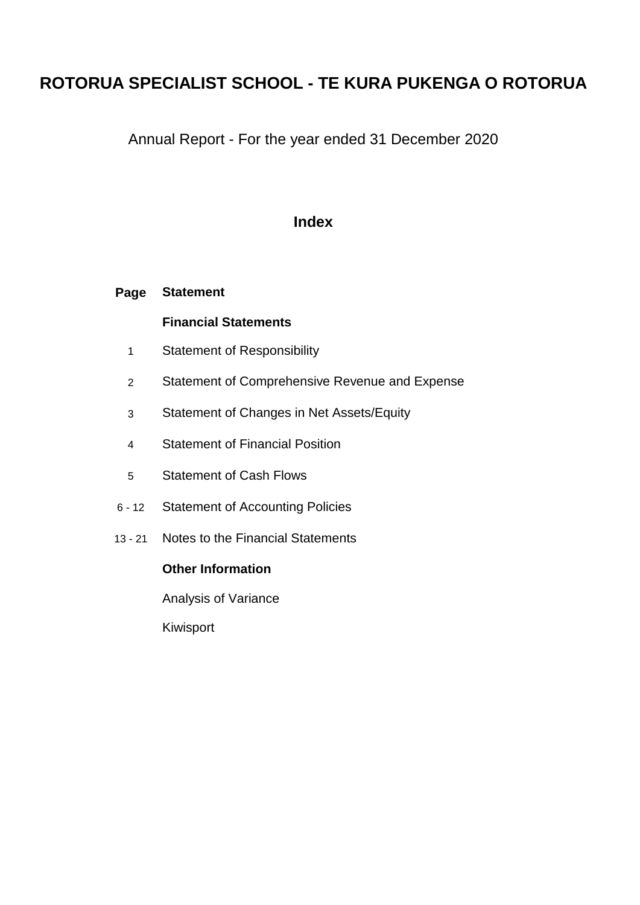# **ROTORUA SPECIALIST SCHOOL - TE KURA PUKENGA O ROTORUA**

Annual Report - For the year ended 31 December 2020

# **Index**

#### **Page Statement**

# **Financial Statements**

- 1 Statement of Responsibility
- 2 Statement of Comprehensive Revenue and Expense
- 3 Statement of Changes in Net Assets/Equity
- 4 Statement of Financial Position
- 5 Statement of Cash Flows
- 6 12 Statement of Accounting Policies
- 13 21 Notes to the Financial Statements

# **Other Information**

Analysis of Variance

Kiwisport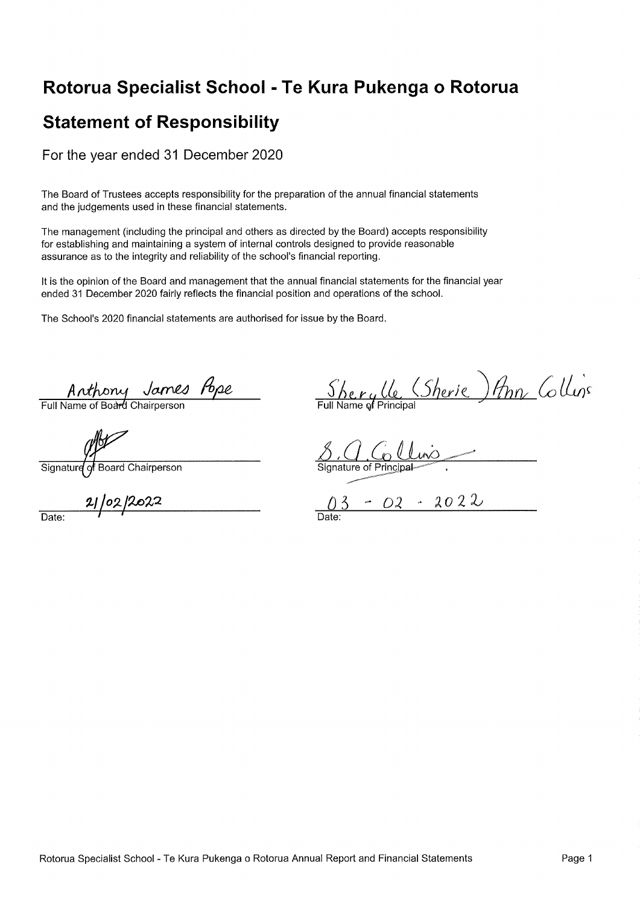# Rotorua Specialist School - Te Kura Pukenga o Rotorua

# **Statement of Responsibility**

For the year ended 31 December 2020

The Board of Trustees accepts responsibility for the preparation of the annual financial statements and the judgements used in these financial statements.

The management (including the principal and others as directed by the Board) accepts responsibility for establishing and maintaining a system of internal controls designed to provide reasonable assurance as to the integrity and reliability of the school's financial reporting.

It is the opinion of the Board and management that the annual financial statements for the financial vear ended 31 December 2020 fairly reflects the financial position and operations of the school.

The School's 2020 financial statements are authorised for issue by the Board.

Anthony James Pope

of Board Chairperson Signature

102/2022  $\overline{Date}$ 

<u>Sherylle</u> (Sherie) Ann Collins

 $-02 - 2022$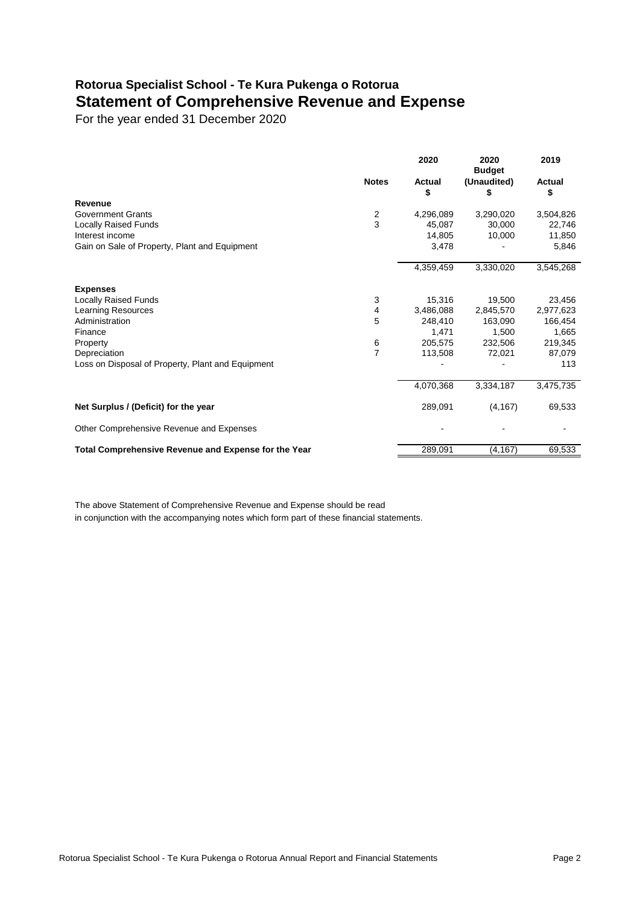# **Rotorua Specialist School - Te Kura Pukenga o Rotorua Statement of Comprehensive Revenue and Expense**

For the year ended 31 December 2020

|                                                      |                | 2020                | 2020<br><b>Budget</b> | 2019         |
|------------------------------------------------------|----------------|---------------------|-----------------------|--------------|
|                                                      | <b>Notes</b>   | <b>Actual</b><br>\$ | (Unaudited)<br>\$     | Actual<br>\$ |
| Revenue                                              |                |                     |                       |              |
| <b>Government Grants</b>                             | $\frac{2}{3}$  | 4,296,089           | 3,290,020             | 3,504,826    |
| <b>Locally Raised Funds</b>                          |                | 45,087              | 30,000                | 22,746       |
| Interest income                                      |                | 14,805              | 10,000                | 11,850       |
| Gain on Sale of Property, Plant and Equipment        |                | 3,478               |                       | 5,846        |
|                                                      |                | 4,359,459           | 3,330,020             | 3,545,268    |
| <b>Expenses</b>                                      |                |                     |                       |              |
| <b>Locally Raised Funds</b>                          | 3              | 15,316              | 19,500                | 23,456       |
| Learning Resources                                   | 4              | 3,486,088           | 2,845,570             | 2,977,623    |
| Administration                                       | 5              | 248,410             | 163,090               | 166,454      |
| Finance                                              |                | 1,471               | 1,500                 | 1,665        |
| Property                                             | 6              | 205,575             | 232,506               | 219,345      |
| Depreciation                                         | $\overline{7}$ | 113,508             | 72,021                | 87,079       |
| Loss on Disposal of Property, Plant and Equipment    |                |                     |                       | 113          |
|                                                      |                | 4,070,368           | 3,334,187             | 3,475,735    |
| Net Surplus / (Deficit) for the year                 |                | 289,091             | (4, 167)              | 69,533       |
| Other Comprehensive Revenue and Expenses             |                |                     |                       |              |
| Total Comprehensive Revenue and Expense for the Year |                | 289,091             | (4, 167)              | 69,533       |

The above Statement of Comprehensive Revenue and Expense should be read in conjunction with the accompanying notes which form part of these financial statements.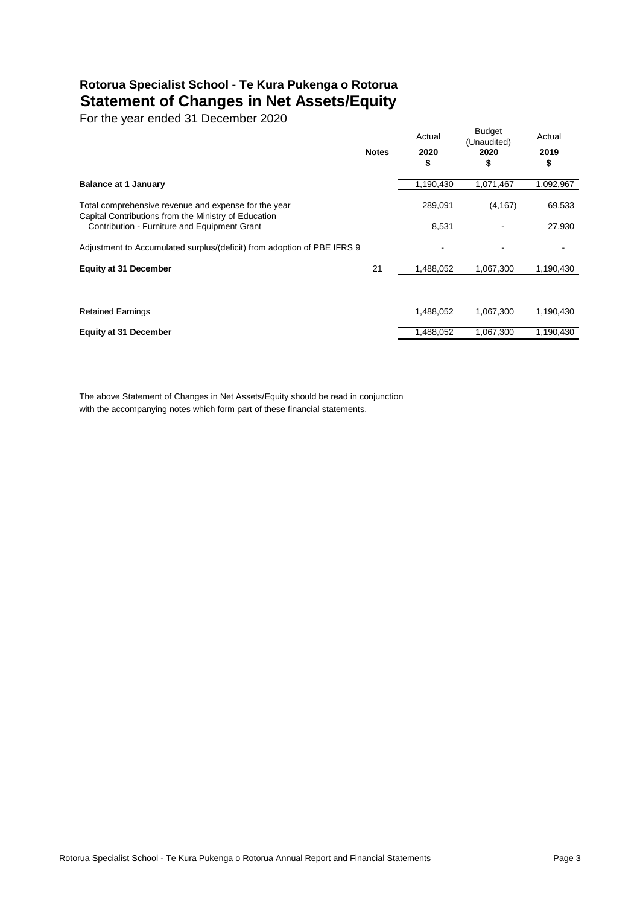# **Rotorua Specialist School - Te Kura Pukenga o Rotorua Statement of Changes in Net Assets/Equity**

For the year ended 31 December 2020

| 1,190,430<br><b>Balance at 1 January</b><br>1,071,467<br>1,092,967<br>69,533<br>Total comprehensive revenue and expense for the year<br>289,091<br>(4, 167)<br>Capital Contributions from the Ministry of Education<br>Contribution - Furniture and Equipment Grant<br>8,531<br>27,930 |                                                                         | <b>Notes</b> | Actual<br>2020<br>\$ | <b>Budget</b><br>(Unaudited)<br>2020<br>\$ | Actual<br>2019<br>\$ |
|----------------------------------------------------------------------------------------------------------------------------------------------------------------------------------------------------------------------------------------------------------------------------------------|-------------------------------------------------------------------------|--------------|----------------------|--------------------------------------------|----------------------|
|                                                                                                                                                                                                                                                                                        |                                                                         |              |                      |                                            |                      |
|                                                                                                                                                                                                                                                                                        |                                                                         |              |                      |                                            |                      |
|                                                                                                                                                                                                                                                                                        |                                                                         |              |                      |                                            |                      |
|                                                                                                                                                                                                                                                                                        | Adjustment to Accumulated surplus/(deficit) from adoption of PBE IFRS 9 |              |                      |                                            |                      |
| 21<br>1,488,052<br><b>Equity at 31 December</b><br>1,067,300<br>1,190,430                                                                                                                                                                                                              |                                                                         |              |                      |                                            |                      |
|                                                                                                                                                                                                                                                                                        |                                                                         |              |                      |                                            |                      |
| <b>Retained Earnings</b><br>1,488,052<br>1,067,300<br>1,190,430                                                                                                                                                                                                                        |                                                                         |              |                      |                                            |                      |
| 1,488,052<br>1,067,300<br>1,190,430<br><b>Equity at 31 December</b>                                                                                                                                                                                                                    |                                                                         |              |                      |                                            |                      |

The above Statement of Changes in Net Assets/Equity should be read in conjunction with the accompanying notes which form part of these financial statements.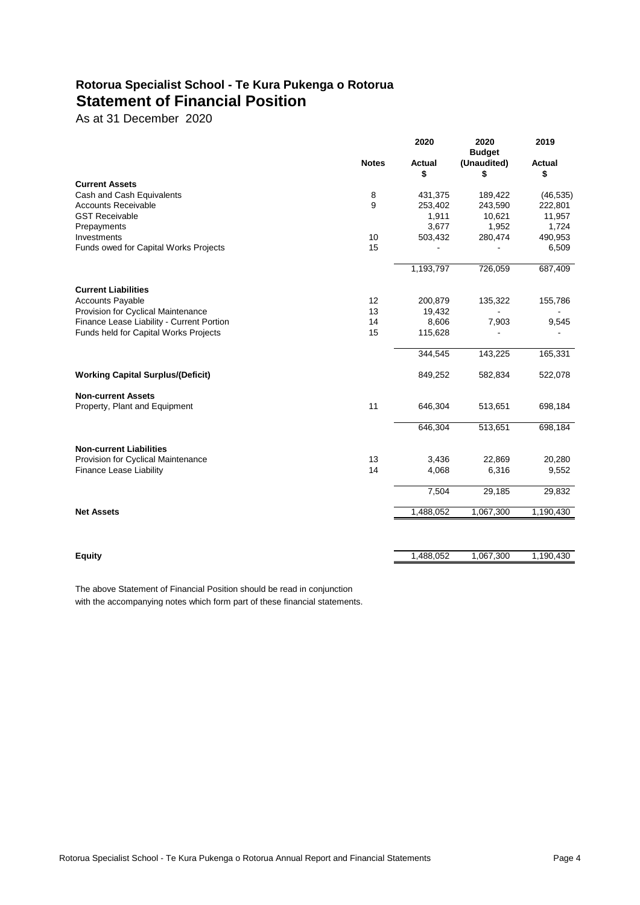# **Rotorua Specialist School - Te Kura Pukenga o Rotorua Statement of Financial Position**

As at 31 December 2020

|                                           |              | 2020          | 2020<br><b>Budget</b> | 2019          |
|-------------------------------------------|--------------|---------------|-----------------------|---------------|
|                                           | <b>Notes</b> | <b>Actual</b> | (Unaudited)           | <b>Actual</b> |
| <b>Current Assets</b>                     |              | \$            | \$                    | \$            |
| Cash and Cash Equivalents                 | 8            | 431,375       | 189,422               | (46, 535)     |
| <b>Accounts Receivable</b>                | 9            | 253,402       | 243,590               | 222,801       |
| <b>GST Receivable</b>                     |              | 1,911         | 10,621                | 11,957        |
| Prepayments                               |              | 3,677         | 1,952                 | 1,724         |
| Investments                               | 10           | 503,432       | 280,474               | 490,953       |
| Funds owed for Capital Works Projects     | 15           |               |                       | 6,509         |
|                                           |              | 1,193,797     | 726,059               | 687,409       |
| <b>Current Liabilities</b>                |              |               |                       |               |
| <b>Accounts Payable</b>                   | 12           | 200,879       | 135,322               | 155,786       |
| Provision for Cyclical Maintenance        | 13           | 19,432        |                       |               |
| Finance Lease Liability - Current Portion | 14           | 8,606         | 7,903                 | 9,545         |
| Funds held for Capital Works Projects     | 15           | 115,628       |                       |               |
|                                           |              | 344,545       | 143,225               | 165,331       |
| <b>Working Capital Surplus/(Deficit)</b>  |              | 849,252       | 582,834               | 522,078       |
| <b>Non-current Assets</b>                 |              |               |                       |               |
| Property, Plant and Equipment             | 11           | 646,304       | 513,651               | 698,184       |
|                                           |              | 646,304       | 513,651               | 698,184       |
| <b>Non-current Liabilities</b>            |              |               |                       |               |
| Provision for Cyclical Maintenance        | 13           | 3,436         | 22,869                | 20,280        |
| Finance Lease Liability                   | 14           | 4,068         | 6,316                 | 9,552         |
|                                           |              | 7,504         | 29,185                | 29,832        |
| <b>Net Assets</b>                         |              | 1,488,052     | 1,067,300             | 1,190,430     |
|                                           |              |               |                       |               |
| <b>Equity</b>                             |              | 1,488,052     | 1,067,300             | 1,190,430     |

The above Statement of Financial Position should be read in conjunction with the accompanying notes which form part of these financial statements.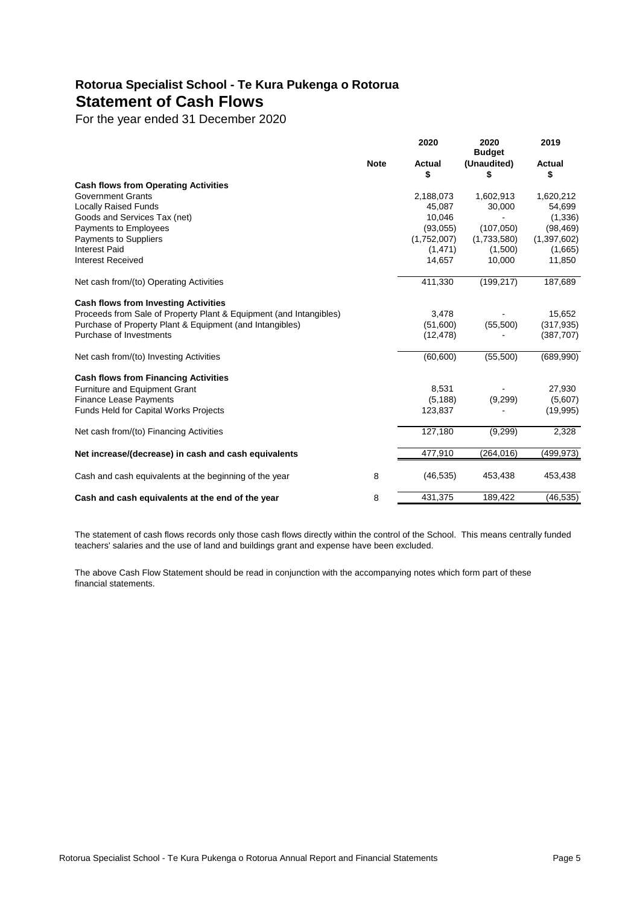# **Rotorua Specialist School - Te Kura Pukenga o Rotorua Statement of Cash Flows**

For the year ended 31 December 2020

|                                                                    |             | 2020         | 2020<br><b>Budget</b> | 2019         |
|--------------------------------------------------------------------|-------------|--------------|-----------------------|--------------|
|                                                                    | <b>Note</b> | Actual<br>\$ | (Unaudited)<br>S      | Actual<br>\$ |
| <b>Cash flows from Operating Activities</b>                        |             |              |                       |              |
| <b>Government Grants</b>                                           |             | 2,188,073    | 1,602,913             | 1,620,212    |
| <b>Locally Raised Funds</b>                                        |             | 45,087       | 30,000                | 54,699       |
| Goods and Services Tax (net)                                       |             | 10,046       |                       | (1, 336)     |
| Payments to Employees                                              |             | (93,055)     | (107,050)             | (98, 469)    |
| Payments to Suppliers                                              |             | (1,752,007)  | (1,733,580)           | (1,397,602)  |
| <b>Interest Paid</b>                                               |             | (1, 471)     | (1,500)               | (1,665)      |
| <b>Interest Received</b>                                           |             | 14,657       | 10,000                | 11,850       |
| Net cash from/(to) Operating Activities                            |             | 411,330      | (199, 217)            | 187,689      |
| <b>Cash flows from Investing Activities</b>                        |             |              |                       |              |
| Proceeds from Sale of Property Plant & Equipment (and Intangibles) |             | 3,478        |                       | 15,652       |
| Purchase of Property Plant & Equipment (and Intangibles)           |             | (51,600)     | (55,500)              | (317, 935)   |
| Purchase of Investments                                            |             | (12, 478)    |                       | (387, 707)   |
| Net cash from/(to) Investing Activities                            |             | (60, 600)    | (55,500)              | (689,990)    |
| <b>Cash flows from Financing Activities</b>                        |             |              |                       |              |
| Furniture and Equipment Grant                                      |             | 8,531        |                       | 27,930       |
| <b>Finance Lease Payments</b>                                      |             | (5, 188)     | (9,299)               | (5,607)      |
| <b>Funds Held for Capital Works Projects</b>                       |             | 123,837      |                       | (19,995)     |
| Net cash from/(to) Financing Activities                            |             | 127,180      | (9,299)               | 2,328        |
| Net increase/(decrease) in cash and cash equivalents               |             | 477,910      | (264, 016)            | (499, 973)   |
| Cash and cash equivalents at the beginning of the year             | 8           | (46, 535)    | 453,438               | 453,438      |
| Cash and cash equivalents at the end of the year                   | 8           | 431,375      | 189,422               | (46, 535)    |

The statement of cash flows records only those cash flows directly within the control of the School. This means centrally funded teachers' salaries and the use of land and buildings grant and expense have been excluded.

The above Cash Flow Statement should be read in conjunction with the accompanying notes which form part of these financial statements.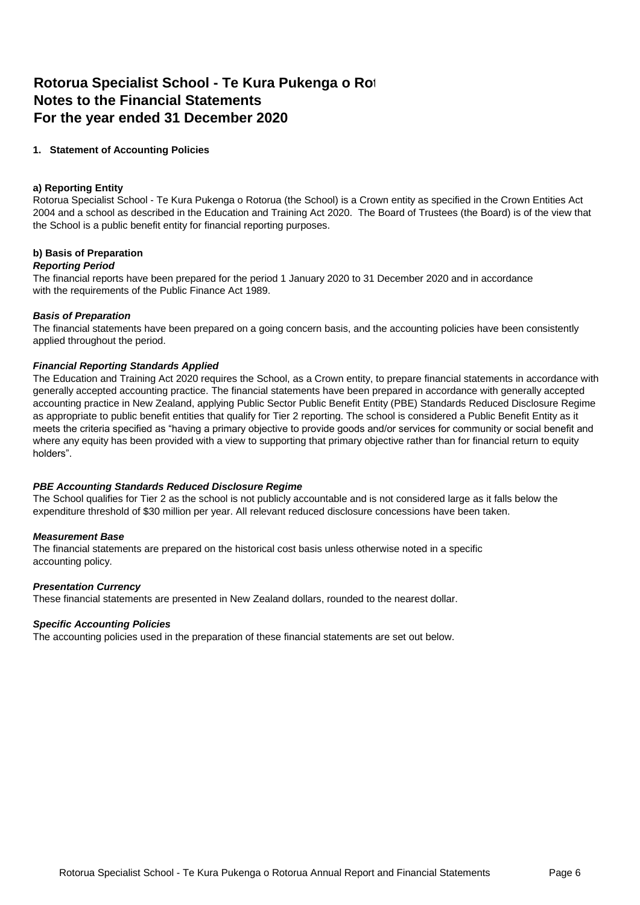# **Rotorua Specialist School - Te Kura Pukenga o Rot Notes to the Financial Statements For the year ended 31 December 2020**

# **1. Statement of Accounting Policies**

## **a) Reporting Entity**

Rotorua Specialist School - Te Kura Pukenga o Rotorua (the School) is a Crown entity as specified in the Crown Entities Act 2004 and a school as described in the Education and Training Act 2020. The Board of Trustees (the Board) is of the view that the School is a public benefit entity for financial reporting purposes.

# **b) Basis of Preparation**

# *Reporting Period*

The financial reports have been prepared for the period 1 January 2020 to 31 December 2020 and in accordance with the requirements of the Public Finance Act 1989.

# *Basis of Preparation*

The financial statements have been prepared on a going concern basis, and the accounting policies have been consistently applied throughout the period.

### *Financial Reporting Standards Applied*

The Education and Training Act 2020 requires the School, as a Crown entity, to prepare financial statements in accordance with generally accepted accounting practice. The financial statements have been prepared in accordance with generally accepted accounting practice in New Zealand, applying Public Sector Public Benefit Entity (PBE) Standards Reduced Disclosure Regime as appropriate to public benefit entities that qualify for Tier 2 reporting. The school is considered a Public Benefit Entity as it meets the criteria specified as "having a primary objective to provide goods and/or services for community or social benefit and where any equity has been provided with a view to supporting that primary objective rather than for financial return to equity holders".

# *PBE Accounting Standards Reduced Disclosure Regime*

The School qualifies for Tier 2 as the school is not publicly accountable and is not considered large as it falls below the expenditure threshold of \$30 million per year. All relevant reduced disclosure concessions have been taken.

# *Measurement Base*

The financial statements are prepared on the historical cost basis unless otherwise noted in a specific accounting policy.

# *Presentation Currency*

These financial statements are presented in New Zealand dollars, rounded to the nearest dollar.

#### *Specific Accounting Policies*

The accounting policies used in the preparation of these financial statements are set out below.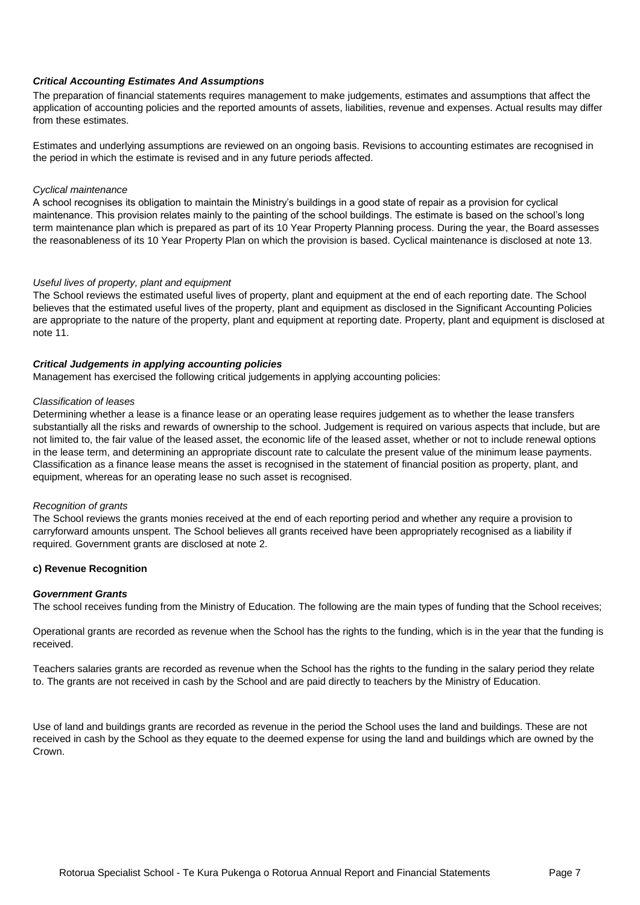# *Critical Accounting Estimates And Assumptions*

The preparation of financial statements requires management to make judgements, estimates and assumptions that affect the application of accounting policies and the reported amounts of assets, liabilities, revenue and expenses. Actual results may differ from these estimates.

Estimates and underlying assumptions are reviewed on an ongoing basis. Revisions to accounting estimates are recognised in the period in which the estimate is revised and in any future periods affected.

#### *Cyclical maintenance*

A school recognises its obligation to maintain the Ministry's buildings in a good state of repair as a provision for cyclical maintenance. This provision relates mainly to the painting of the school buildings. The estimate is based on the school's long term maintenance plan which is prepared as part of its 10 Year Property Planning process. During the year, the Board assesses the reasonableness of its 10 Year Property Plan on which the provision is based. Cyclical maintenance is disclosed at note 13.

### *Useful lives of property, plant and equipment*

The School reviews the estimated useful lives of property, plant and equipment at the end of each reporting date. The School believes that the estimated useful lives of the property, plant and equipment as disclosed in the Significant Accounting Policies are appropriate to the nature of the property, plant and equipment at reporting date. Property, plant and equipment is disclosed at note 11.

### *Critical Judgements in applying accounting policies*

Management has exercised the following critical judgements in applying accounting policies:

#### *Classification of leases*

Determining whether a lease is a finance lease or an operating lease requires judgement as to whether the lease transfers substantially all the risks and rewards of ownership to the school. Judgement is required on various aspects that include, but are not limited to, the fair value of the leased asset, the economic life of the leased asset, whether or not to include renewal options in the lease term, and determining an appropriate discount rate to calculate the present value of the minimum lease payments. Classification as a finance lease means the asset is recognised in the statement of financial position as property, plant, and equipment, whereas for an operating lease no such asset is recognised.

#### *Recognition of grants*

The School reviews the grants monies received at the end of each reporting period and whether any require a provision to carryforward amounts unspent. The School believes all grants received have been appropriately recognised as a liability if required. Government grants are disclosed at note 2.

# **c) Revenue Recognition**

#### *Government Grants*

The school receives funding from the Ministry of Education. The following are the main types of funding that the School receives;

Operational grants are recorded as revenue when the School has the rights to the funding, which is in the year that the funding is received.

Teachers salaries grants are recorded as revenue when the School has the rights to the funding in the salary period they relate to. The grants are not received in cash by the School and are paid directly to teachers by the Ministry of Education.

Use of land and buildings grants are recorded as revenue in the period the School uses the land and buildings. These are not received in cash by the School as they equate to the deemed expense for using the land and buildings which are owned by the Crown.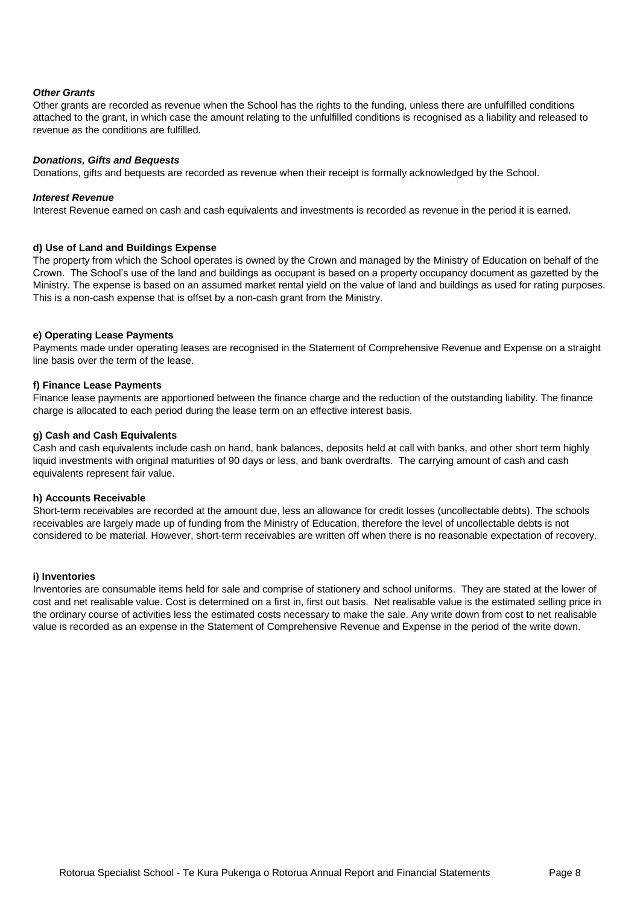## *Other Grants*

Other grants are recorded as revenue when the School has the rights to the funding, unless there are unfulfilled conditions attached to the grant, in which case the amount relating to the unfulfilled conditions is recognised as a liability and released to revenue as the conditions are fulfilled.

#### *Donations, Gifts and Bequests*

Donations, gifts and bequests are recorded as revenue when their receipt is formally acknowledged by the School.

#### *Interest Revenue*

Interest Revenue earned on cash and cash equivalents and investments is recorded as revenue in the period it is earned.

# **d) Use of Land and Buildings Expense**

The property from which the School operates is owned by the Crown and managed by the Ministry of Education on behalf of the Crown. The School's use of the land and buildings as occupant is based on a property occupancy document as gazetted by the Ministry. The expense is based on an assumed market rental yield on the value of land and buildings as used for rating purposes. This is a non-cash expense that is offset by a non-cash grant from the Ministry.

### **e) Operating Lease Payments**

Payments made under operating leases are recognised in the Statement of Comprehensive Revenue and Expense on a straight line basis over the term of the lease.

### **f) Finance Lease Payments**

Finance lease payments are apportioned between the finance charge and the reduction of the outstanding liability. The finance charge is allocated to each period during the lease term on an effective interest basis.

# **g) Cash and Cash Equivalents**

Cash and cash equivalents include cash on hand, bank balances, deposits held at call with banks, and other short term highly liquid investments with original maturities of 90 days or less, and bank overdrafts. The carrying amount of cash and cash equivalents represent fair value.

#### **h) Accounts Receivable**

Short-term receivables are recorded at the amount due, less an allowance for credit losses (uncollectable debts). The schools receivables are largely made up of funding from the Ministry of Education, therefore the level of uncollectable debts is not considered to be material. However, short-term receivables are written off when there is no reasonable expectation of recovery.

#### **i) Inventories**

Inventories are consumable items held for sale and comprise of stationery and school uniforms. They are stated at the lower of cost and net realisable value. Cost is determined on a first in, first out basis. Net realisable value is the estimated selling price in the ordinary course of activities less the estimated costs necessary to make the sale. Any write down from cost to net realisable value is recorded as an expense in the Statement of Comprehensive Revenue and Expense in the period of the write down.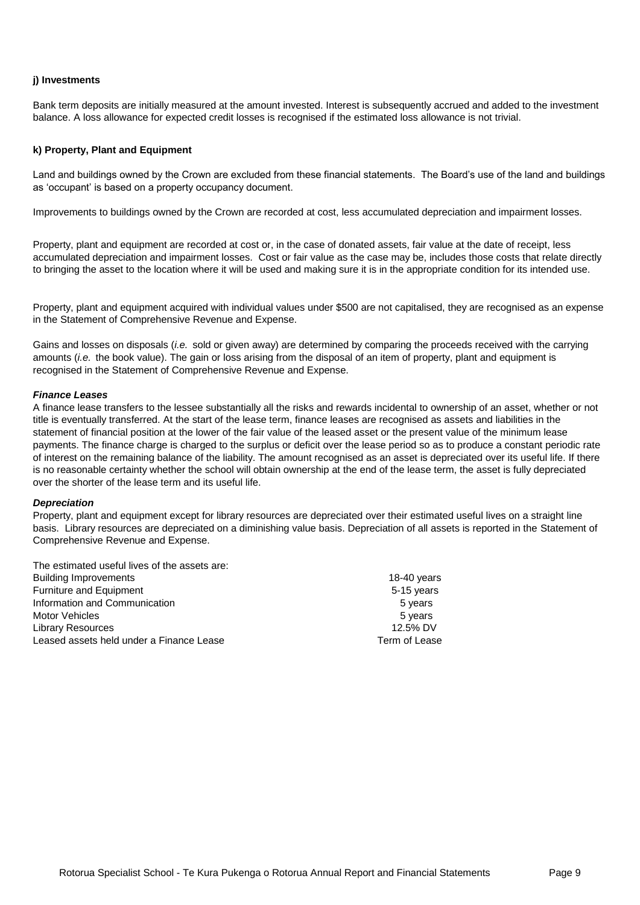## **j) Investments**

Bank term deposits are initially measured at the amount invested. Interest is subsequently accrued and added to the investment balance. A loss allowance for expected credit losses is recognised if the estimated loss allowance is not trivial.

### **k) Property, Plant and Equipment**

Land and buildings owned by the Crown are excluded from these financial statements. The Board's use of the land and buildings as 'occupant' is based on a property occupancy document.

Improvements to buildings owned by the Crown are recorded at cost, less accumulated depreciation and impairment losses.

Property, plant and equipment are recorded at cost or, in the case of donated assets, fair value at the date of receipt, less accumulated depreciation and impairment losses. Cost or fair value as the case may be, includes those costs that relate directly to bringing the asset to the location where it will be used and making sure it is in the appropriate condition for its intended use.

Property, plant and equipment acquired with individual values under \$500 are not capitalised, they are recognised as an expense in the Statement of Comprehensive Revenue and Expense.

Gains and losses on disposals (*i.e.* sold or given away) are determined by comparing the proceeds received with the carrying amounts (*i.e.* the book value). The gain or loss arising from the disposal of an item of property, plant and equipment is recognised in the Statement of Comprehensive Revenue and Expense.

### *Finance Leases*

A finance lease transfers to the lessee substantially all the risks and rewards incidental to ownership of an asset, whether or not title is eventually transferred. At the start of the lease term, finance leases are recognised as assets and liabilities in the statement of financial position at the lower of the fair value of the leased asset or the present value of the minimum lease payments. The finance charge is charged to the surplus or deficit over the lease period so as to produce a constant periodic rate of interest on the remaining balance of the liability. The amount recognised as an asset is depreciated over its useful life. If there is no reasonable certainty whether the school will obtain ownership at the end of the lease term, the asset is fully depreciated over the shorter of the lease term and its useful life.

#### *Depreciation*

Property, plant and equipment except for library resources are depreciated over their estimated useful lives on a straight line basis. Library resources are depreciated on a diminishing value basis. Depreciation of all assets is reported in the Statement of Comprehensive Revenue and Expense.

| The estimated useful lives of the assets are: |               |
|-----------------------------------------------|---------------|
| <b>Building Improvements</b>                  | 18-40 years   |
| <b>Furniture and Equipment</b>                | 5-15 years    |
| Information and Communication                 | 5 years       |
| Motor Vehicles                                | 5 years       |
| Library Resources                             | 12.5% DV      |
| Leased assets held under a Finance Lease      | Term of Lease |
|                                               |               |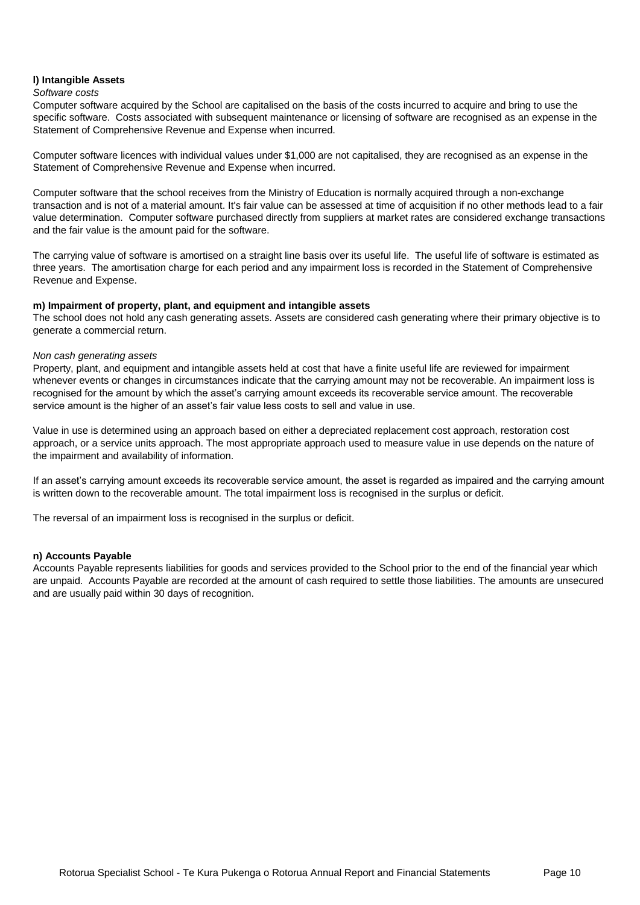# **l) Intangible Assets**

### *Software costs*

Computer software acquired by the School are capitalised on the basis of the costs incurred to acquire and bring to use the specific software. Costs associated with subsequent maintenance or licensing of software are recognised as an expense in the Statement of Comprehensive Revenue and Expense when incurred.

Computer software licences with individual values under \$1,000 are not capitalised, they are recognised as an expense in the Statement of Comprehensive Revenue and Expense when incurred.

Computer software that the school receives from the Ministry of Education is normally acquired through a non-exchange transaction and is not of a material amount. It's fair value can be assessed at time of acquisition if no other methods lead to a fair value determination. Computer software purchased directly from suppliers at market rates are considered exchange transactions and the fair value is the amount paid for the software.

The carrying value of software is amortised on a straight line basis over its useful life. The useful life of software is estimated as three years. The amortisation charge for each period and any impairment loss is recorded in the Statement of Comprehensive Revenue and Expense.

# **m) Impairment of property, plant, and equipment and intangible assets**

The school does not hold any cash generating assets. Assets are considered cash generating where their primary objective is to generate a commercial return.

# *Non cash generating assets*

Property, plant, and equipment and intangible assets held at cost that have a finite useful life are reviewed for impairment whenever events or changes in circumstances indicate that the carrying amount may not be recoverable. An impairment loss is recognised for the amount by which the asset's carrying amount exceeds its recoverable service amount. The recoverable service amount is the higher of an asset's fair value less costs to sell and value in use.

Value in use is determined using an approach based on either a depreciated replacement cost approach, restoration cost approach, or a service units approach. The most appropriate approach used to measure value in use depends on the nature of the impairment and availability of information.

If an asset's carrying amount exceeds its recoverable service amount, the asset is regarded as impaired and the carrying amount is written down to the recoverable amount. The total impairment loss is recognised in the surplus or deficit.

The reversal of an impairment loss is recognised in the surplus or deficit.

# **n) Accounts Payable**

Accounts Payable represents liabilities for goods and services provided to the School prior to the end of the financial year which are unpaid. Accounts Payable are recorded at the amount of cash required to settle those liabilities. The amounts are unsecured and are usually paid within 30 days of recognition.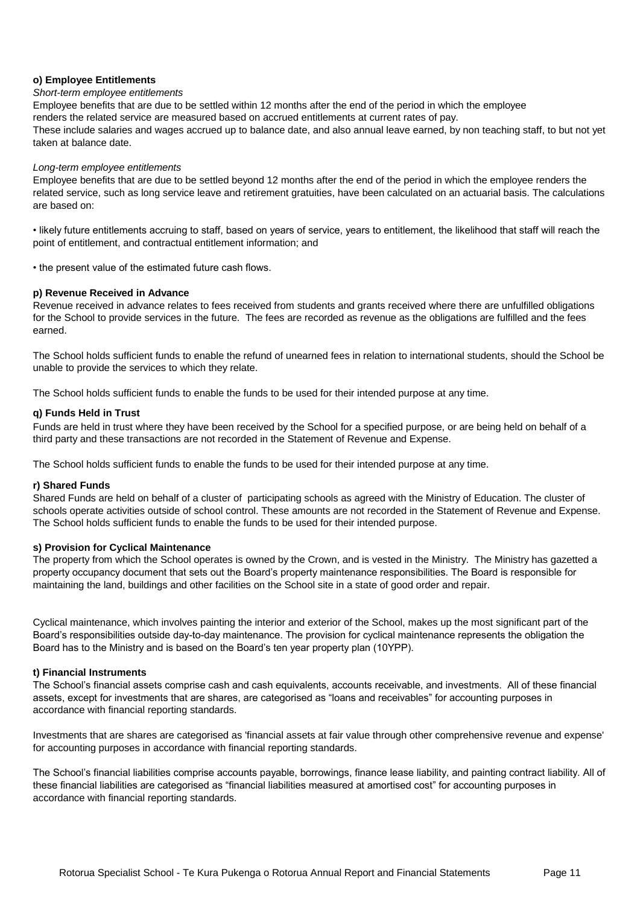# **o) Employee Entitlements**

#### *Short-term employee entitlements*

Employee benefits that are due to be settled within 12 months after the end of the period in which the employee renders the related service are measured based on accrued entitlements at current rates of pay. These include salaries and wages accrued up to balance date, and also annual leave earned, by non teaching staff, to but not yet taken at balance date.

#### *Long-term employee entitlements*

Employee benefits that are due to be settled beyond 12 months after the end of the period in which the employee renders the related service, such as long service leave and retirement gratuities, have been calculated on an actuarial basis. The calculations are based on:

• likely future entitlements accruing to staff, based on years of service, years to entitlement, the likelihood that staff will reach the point of entitlement, and contractual entitlement information; and

• the present value of the estimated future cash flows.

#### **p) Revenue Received in Advance**

Revenue received in advance relates to fees received from students and grants received where there are unfulfilled obligations for the School to provide services in the future. The fees are recorded as revenue as the obligations are fulfilled and the fees earned.

The School holds sufficient funds to enable the refund of unearned fees in relation to international students, should the School be unable to provide the services to which they relate.

The School holds sufficient funds to enable the funds to be used for their intended purpose at any time.

#### **q) Funds Held in Trust**

Funds are held in trust where they have been received by the School for a specified purpose, or are being held on behalf of a third party and these transactions are not recorded in the Statement of Revenue and Expense.

The School holds sufficient funds to enable the funds to be used for their intended purpose at any time.

#### **r) Shared Funds**

Shared Funds are held on behalf of a cluster of participating schools as agreed with the Ministry of Education. The cluster of schools operate activities outside of school control. These amounts are not recorded in the Statement of Revenue and Expense. The School holds sufficient funds to enable the funds to be used for their intended purpose.

# **s) Provision for Cyclical Maintenance**

The property from which the School operates is owned by the Crown, and is vested in the Ministry. The Ministry has gazetted a property occupancy document that sets out the Board's property maintenance responsibilities. The Board is responsible for maintaining the land, buildings and other facilities on the School site in a state of good order and repair.

Cyclical maintenance, which involves painting the interior and exterior of the School, makes up the most significant part of the Board's responsibilities outside day-to-day maintenance. The provision for cyclical maintenance represents the obligation the Board has to the Ministry and is based on the Board's ten year property plan (10YPP).

#### **t) Financial Instruments**

The School's financial assets comprise cash and cash equivalents, accounts receivable, and investments. All of these financial assets, except for investments that are shares, are categorised as "loans and receivables" for accounting purposes in accordance with financial reporting standards.

Investments that are shares are categorised as 'financial assets at fair value through other comprehensive revenue and expense' for accounting purposes in accordance with financial reporting standards.

The School's financial liabilities comprise accounts payable, borrowings, finance lease liability, and painting contract liability. All of these financial liabilities are categorised as "financial liabilities measured at amortised cost" for accounting purposes in accordance with financial reporting standards.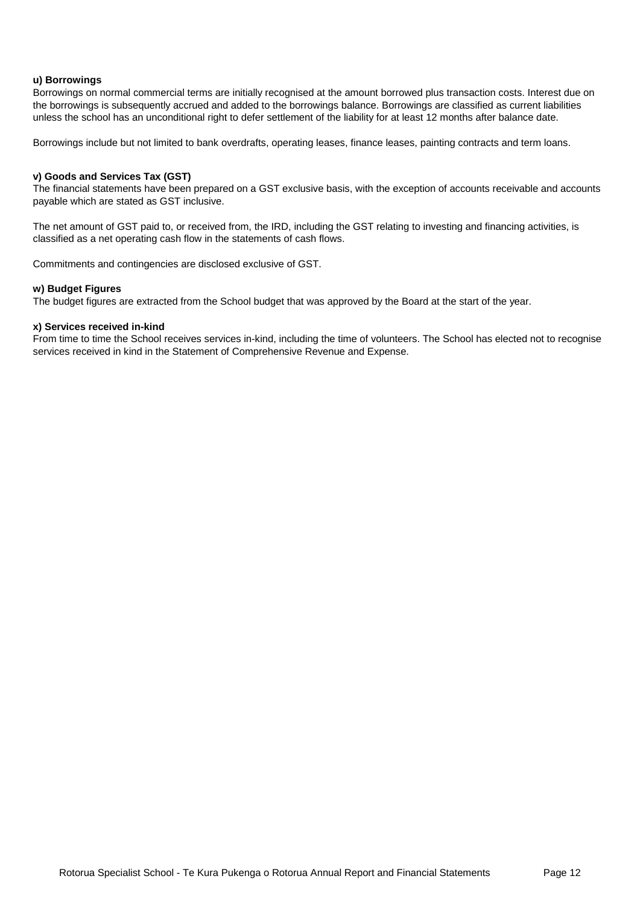# **u) Borrowings**

Borrowings on normal commercial terms are initially recognised at the amount borrowed plus transaction costs. Interest due on the borrowings is subsequently accrued and added to the borrowings balance. Borrowings are classified as current liabilities unless the school has an unconditional right to defer settlement of the liability for at least 12 months after balance date.

Borrowings include but not limited to bank overdrafts, operating leases, finance leases, painting contracts and term loans.

### **v) Goods and Services Tax (GST)**

The financial statements have been prepared on a GST exclusive basis, with the exception of accounts receivable and accounts payable which are stated as GST inclusive.

The net amount of GST paid to, or received from, the IRD, including the GST relating to investing and financing activities, is classified as a net operating cash flow in the statements of cash flows.

Commitments and contingencies are disclosed exclusive of GST.

#### **w) Budget Figures**

The budget figures are extracted from the School budget that was approved by the Board at the start of the year.

## **x) Services received in-kind**

From time to time the School receives services in-kind, including the time of volunteers. The School has elected not to recognise services received in kind in the Statement of Comprehensive Revenue and Expense.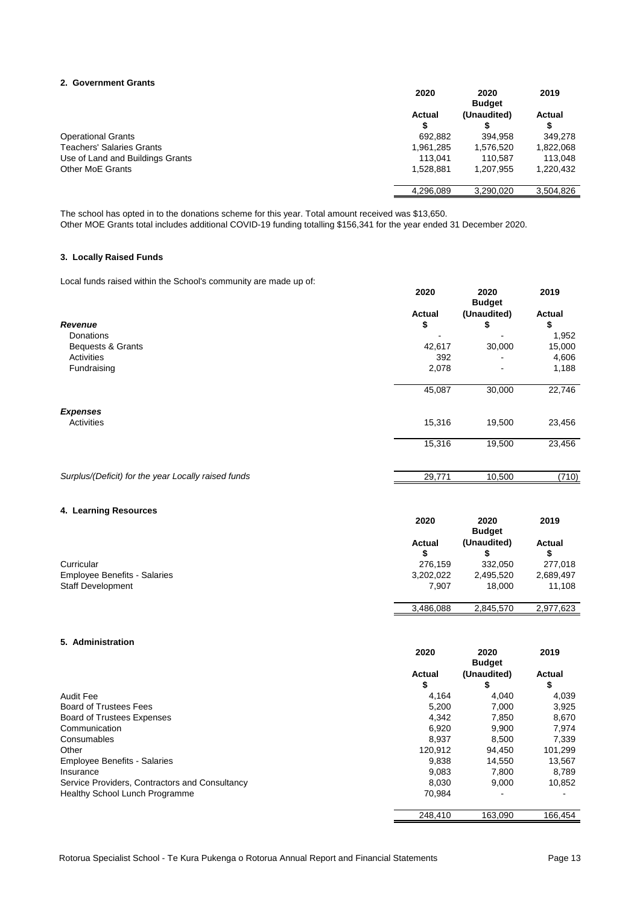#### **2. Government Grants**

|                                  | 2020               | 2020<br><b>Budget</b> | 2019      |
|----------------------------------|--------------------|-----------------------|-----------|
|                                  | <b>Actual</b><br>S | (Unaudited)           | Actual    |
| <b>Operational Grants</b>        | 692,882            | 394.958               | 349,278   |
| <b>Teachers' Salaries Grants</b> | 1,961,285          | 1,576,520             | 1,822,068 |
| Use of Land and Buildings Grants | 113.041            | 110.587               | 113.048   |
| <b>Other MoE Grants</b>          | 1,528,881          | 1.207.955             | 1,220,432 |
|                                  | 4.296.089          | 3.290.020             | 3,504,826 |

The school has opted in to the donations scheme for this year. Total amount received was \$13,650. Other MOE Grants total includes additional COVID-19 funding totalling \$156,341 for the year ended 31 December 2020.

## **3. Locally Raised Funds**

Local funds raised within the School's community are made up of:

|                                                     | 2020          | 2020<br><b>Budget</b> | 2019   |
|-----------------------------------------------------|---------------|-----------------------|--------|
|                                                     | <b>Actual</b> | (Unaudited)           | Actual |
| Revenue                                             | \$            | \$                    | \$     |
| <b>Donations</b>                                    |               |                       | 1,952  |
| Bequests & Grants                                   | 42,617        | 30,000                | 15,000 |
| Activities                                          | 392           | ۰                     | 4,606  |
| Fundraising                                         | 2,078         | $\blacksquare$        | 1,188  |
|                                                     | 45,087        | 30,000                | 22,746 |
| <b>Expenses</b>                                     |               |                       |        |
| Activities                                          | 15,316        | 19,500                | 23,456 |
|                                                     | 15,316        | 19,500                | 23,456 |
| Surplus/(Deficit) for the year Locally raised funds | 29,771        | 10,500                | (710)  |

## **4. Learning Resources**

|                                     | 2020               | 2020<br><b>Budget</b> | 2019      |
|-------------------------------------|--------------------|-----------------------|-----------|
|                                     | <b>Actual</b><br>S | (Unaudited)           | Actual    |
| Curricular                          | 276.159            | 332.050               | 277,018   |
| <b>Employee Benefits - Salaries</b> | 3,202,022          | 2,495,520             | 2,689,497 |
| <b>Staff Development</b>            | 7.907              | 18.000                | 11,108    |
|                                     | 3,486,088          | 2,845,570             | 2,977,623 |

# **5. Administration**

|                                                | 2020          | 2020<br><b>Budget</b> | 2019          |
|------------------------------------------------|---------------|-----------------------|---------------|
|                                                | <b>Actual</b> | (Unaudited)           | <b>Actual</b> |
|                                                | \$            | \$                    | \$            |
| <b>Audit Fee</b>                               | 4.164         | 4.040                 | 4,039         |
| <b>Board of Trustees Fees</b>                  | 5.200         | 7.000                 | 3,925         |
| <b>Board of Trustees Expenses</b>              | 4.342         | 7.850                 | 8,670         |
| Communication                                  | 6,920         | 9,900                 | 7,974         |
| Consumables                                    | 8.937         | 8.500                 | 7,339         |
| Other                                          | 120.912       | 94.450                | 101,299       |
| <b>Employee Benefits - Salaries</b>            | 9,838         | 14,550                | 13,567        |
| Insurance                                      | 9.083         | 7.800                 | 8.789         |
| Service Providers, Contractors and Consultancy | 8.030         | 9,000                 | 10,852        |
| Healthy School Lunch Programme                 | 70.984        |                       |               |
|                                                | 248,410       | 163,090               | 166,454       |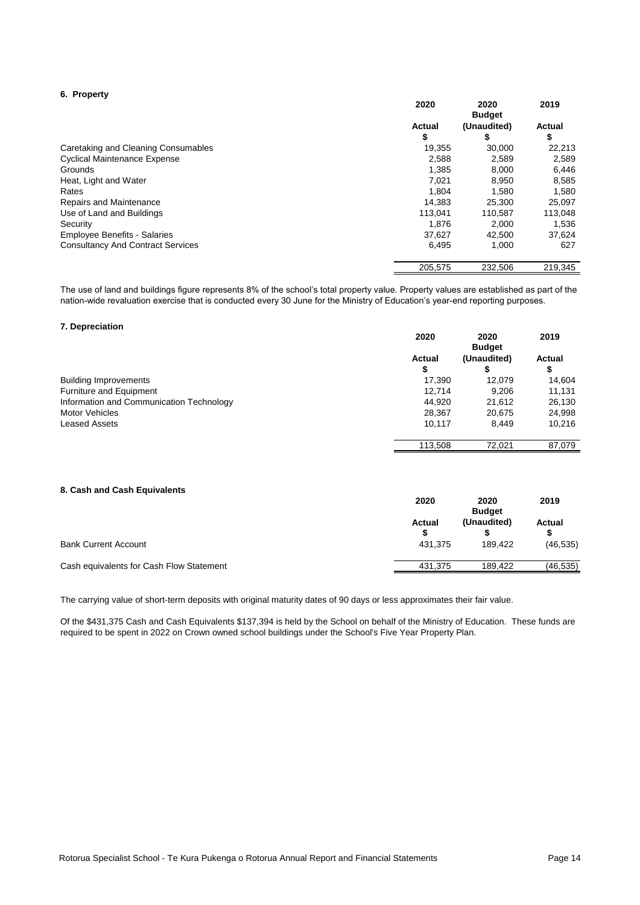### **6. Property**

|                                          | 2020          | 2020<br><b>Budget</b> | 2019          |
|------------------------------------------|---------------|-----------------------|---------------|
|                                          | <b>Actual</b> | (Unaudited)           | <b>Actual</b> |
|                                          | \$            | s.                    | \$            |
| Caretaking and Cleaning Consumables      | 19.355        | 30,000                | 22,213        |
| <b>Cyclical Maintenance Expense</b>      | 2.588         | 2.589                 | 2,589         |
| Grounds                                  | 1.385         | 8,000                 | 6,446         |
| Heat, Light and Water                    | 7.021         | 8.950                 | 8,585         |
| Rates                                    | 1.804         | 1.580                 | 1,580         |
| Repairs and Maintenance                  | 14.383        | 25.300                | 25,097        |
| Use of Land and Buildings                | 113.041       | 110.587               | 113,048       |
| Security                                 | 1.876         | 2,000                 | 1,536         |
| <b>Employee Benefits - Salaries</b>      | 37.627        | 42.500                | 37,624        |
| <b>Consultancy And Contract Services</b> | 6,495         | 1,000                 | 627           |
|                                          | 205,575       | 232,506               | 219,345       |

The use of land and buildings figure represents 8% of the school's total property value. Property values are established as part of the nation-wide revaluation exercise that is conducted every 30 June for the Ministry of Education's year-end reporting purposes.

#### **7. Depreciation**

|                                          | 2020          | 2020<br><b>Budget</b> | 2019          |
|------------------------------------------|---------------|-----------------------|---------------|
|                                          | <b>Actual</b> | (Unaudited)           | <b>Actual</b> |
|                                          | \$            |                       | \$            |
| <b>Building Improvements</b>             | 17.390        | 12,079                | 14,604        |
| Furniture and Equipment                  | 12.714        | 9.206                 | 11,131        |
| Information and Communication Technology | 44.920        | 21.612                | 26,130        |
| <b>Motor Vehicles</b>                    | 28,367        | 20,675                | 24,998        |
| <b>Leased Assets</b>                     | 10.117        | 8.449                 | 10.216        |
|                                          | 113,508       | 72,021                | 87,079        |

# **8. Cash and Cash Equivalents**

|                                          | 2020                          | 2020<br><b>Budget</b>  | 2019                |
|------------------------------------------|-------------------------------|------------------------|---------------------|
| <b>Bank Current Account</b>              | <b>Actual</b><br>S<br>431.375 | (Unaudited)<br>189.422 | Actual<br>(46, 535) |
| Cash equivalents for Cash Flow Statement | 431.375                       | 189.422                | (46, 535)           |

The carrying value of short-term deposits with original maturity dates of 90 days or less approximates their fair value.

Of the \$431,375 Cash and Cash Equivalents \$137,394 is held by the School on behalf of the Ministry of Education. These funds are required to be spent in 2022 on Crown owned school buildings under the School's Five Year Property Plan.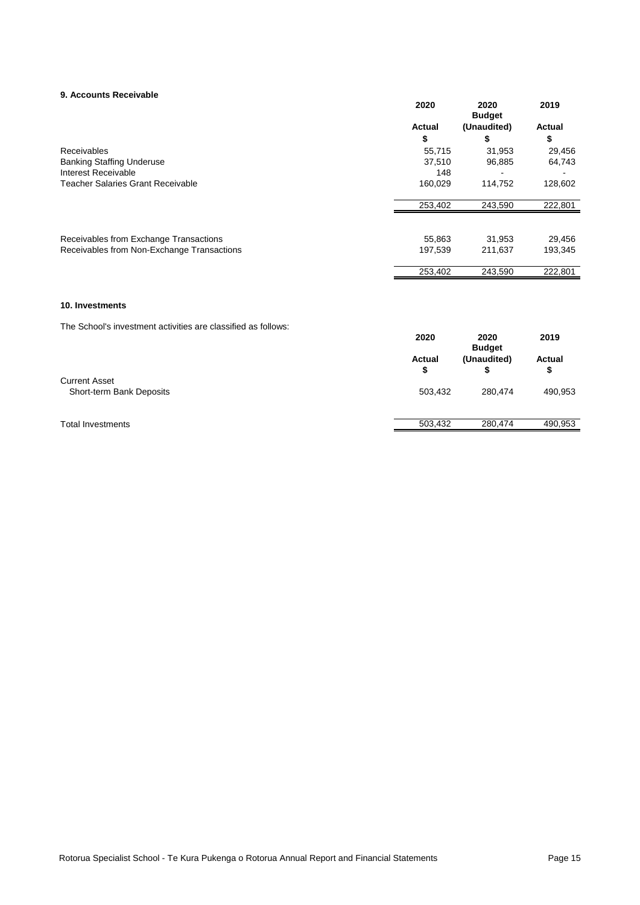#### **9. Accounts Receivable**

| 9. Accounts Receivable                     | 2020          | 2020<br><b>Budget</b> | 2019          |
|--------------------------------------------|---------------|-----------------------|---------------|
|                                            | <b>Actual</b> | (Unaudited)           | <b>Actual</b> |
|                                            | \$            | S                     | \$            |
| Receivables                                | 55.715        | 31,953                | 29,456        |
| <b>Banking Staffing Underuse</b>           | 37,510        | 96,885                | 64,743        |
| Interest Receivable                        | 148           |                       |               |
| <b>Teacher Salaries Grant Receivable</b>   | 160,029       | 114.752               | 128,602       |
|                                            | 253,402       | 243,590               | 222,801       |
|                                            |               |                       |               |
| Receivables from Exchange Transactions     | 55,863        | 31,953                | 29,456        |
| Receivables from Non-Exchange Transactions | 197,539       | 211,637               | 193,345       |
|                                            | 253,402       | 243,590               | 222.801       |

### **10. Investments**

The School's investment activities are classified as follows:

| <u>THU OUNUU HIVUUNIUNII QUIVIIUU QIU URUUNIU QU IUNUVU.</u> | 2020                | 2020<br><b>Budget</b> | 2019                |
|--------------------------------------------------------------|---------------------|-----------------------|---------------------|
|                                                              | <b>Actual</b><br>\$ | (Unaudited)           | <b>Actual</b><br>\$ |
| <b>Current Asset</b><br>Short-term Bank Deposits             | 503,432             | 280,474               | 490,953             |
| <b>Total Investments</b>                                     | 503,432             | 280.474               | 490,953             |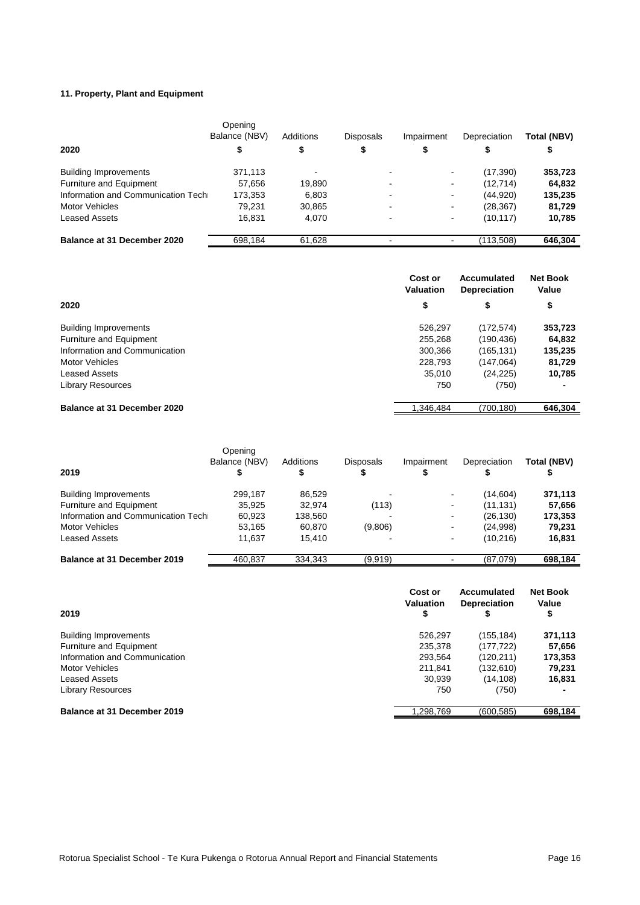# **11. Property, Plant and Equipment**

|                                    | Opening<br>Balance (NBV) | Additions | <b>Disposals</b> | Impairment               | Depreciation | Total (NBV) |
|------------------------------------|--------------------------|-----------|------------------|--------------------------|--------------|-------------|
| 2020                               |                          | \$        | \$               | \$                       |              | \$          |
| <b>Building Improvements</b>       | 371,113                  |           | -                | $\blacksquare$           | (17, 390)    | 353,723     |
| Furniture and Equipment            | 57,656                   | 19,890    | $\blacksquare$   | $\overline{\phantom{a}}$ | (12, 714)    | 64,832      |
| Information and Communication Tech | 173,353                  | 6.803     | -                | ٠                        | (44,920)     | 135,235     |
| <b>Motor Vehicles</b>              | 79.231                   | 30,865    | $\blacksquare$   | $\sim$                   | (28, 367)    | 81,729      |
| <b>Leased Assets</b>               | 16,831                   | 4.070     | $\blacksquare$   | ۰                        | (10, 117)    | 10,785      |
| Balance at 31 December 2020        | 698,184                  | 61,628    | -                |                          | (113.508)    | 646.304     |

|                               | Cost or<br><b>Valuation</b> | Accumulated<br><b>Depreciation</b> | <b>Net Book</b><br>Value |
|-------------------------------|-----------------------------|------------------------------------|--------------------------|
| 2020                          | \$                          | \$                                 | \$                       |
| <b>Building Improvements</b>  | 526,297                     | (172, 574)                         | 353,723                  |
| Furniture and Equipment       | 255,268                     | (190,436)                          | 64,832                   |
| Information and Communication | 300,366                     | (165,131)                          | 135,235                  |
| <b>Motor Vehicles</b>         | 228,793                     | (147,064)                          | 81,729                   |
| <b>Leased Assets</b>          | 35,010                      | (24, 225)                          | 10,785                   |
| <b>Library Resources</b>      | 750                         | (750)                              |                          |
| Balance at 31 December 2020   | 1.346.484                   | (700,180)                          | 646.304                  |

| 2019                               | Opening<br>Balance (NBV) | Additions | <b>Disposals</b> | Impairment     | Depreciation | Total (NBV) |
|------------------------------------|--------------------------|-----------|------------------|----------------|--------------|-------------|
| <b>Building Improvements</b>       | 299.187                  | 86,529    |                  | $\blacksquare$ | (14,604)     | 371,113     |
| Furniture and Equipment            | 35,925                   | 32.974    | (113)            | $\blacksquare$ | (11, 131)    | 57,656      |
| Information and Communication Tech | 60,923                   | 138,560   |                  | $\blacksquare$ | (26, 130)    | 173,353     |
| <b>Motor Vehicles</b>              | 53,165                   | 60,870    | (9,806)          | $\sim$         | (24,998)     | 79,231      |
| Leased Assets                      | 11.637                   | 15.410    |                  | $\sim$         | (10.216)     | 16,831      |
| Balance at 31 December 2019        | 460.837                  | 334.343   | (9.919)          |                | (87.079)     | 698.184     |

|                               | Cost or<br>Valuation | Accumulated<br><b>Depreciation</b> | <b>Net Book</b><br>Value |
|-------------------------------|----------------------|------------------------------------|--------------------------|
| 2019                          | \$                   |                                    | \$                       |
| <b>Building Improvements</b>  | 526.297              | (155,184)                          | 371,113                  |
| Furniture and Equipment       | 235,378              | (177,722)                          | 57,656                   |
| Information and Communication | 293.564              | (120,211)                          | 173,353                  |
| <b>Motor Vehicles</b>         | 211.841              | (132,610)                          | 79,231                   |
| <b>Leased Assets</b>          | 30.939               | (14, 108)                          | 16,831                   |
| <b>Library Resources</b>      | 750                  | (750)                              | -                        |
| Balance at 31 December 2019   | 1.298.769            | (600, 585)                         | 698,184                  |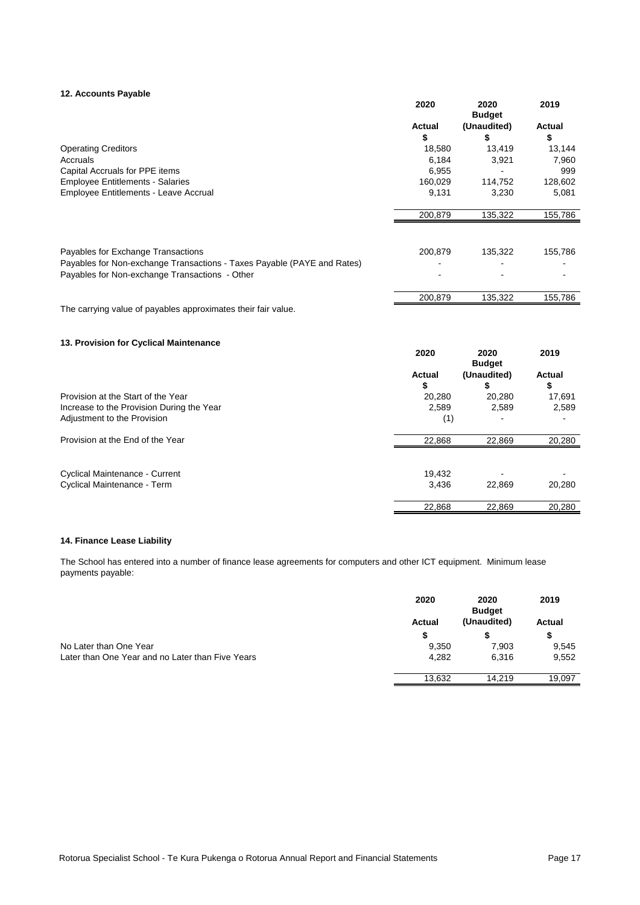#### **12. Accounts Payable**

|                                                                         | 2020    | 2020<br><b>Budget</b> | 2019          |
|-------------------------------------------------------------------------|---------|-----------------------|---------------|
|                                                                         | Actual  | (Unaudited)           | <b>Actual</b> |
|                                                                         | \$      | S                     | \$            |
| <b>Operating Creditors</b>                                              | 18,580  | 13,419                | 13,144        |
| Accruals                                                                | 6,184   | 3,921                 | 7,960         |
| Capital Accruals for PPE items                                          | 6,955   |                       | 999           |
| <b>Employee Entitlements - Salaries</b>                                 | 160,029 | 114,752               | 128,602       |
| <b>Employee Entitlements - Leave Accrual</b>                            | 9,131   | 3,230                 | 5,081         |
|                                                                         |         |                       |               |
|                                                                         | 200,879 | 135,322               | 155,786       |
|                                                                         |         |                       |               |
| Payables for Exchange Transactions                                      | 200,879 | 135,322               | 155,786       |
| Payables for Non-exchange Transactions - Taxes Payable (PAYE and Rates) |         |                       |               |
| Payables for Non-exchange Transactions - Other                          |         |                       |               |
|                                                                         | 200,879 | 135,322               | 155,786       |

The carrying value of payables approximates their fair value.

# **13. Provision for Cyclical Maintenance**

|                                           | 2020         | 2020<br><b>Budget</b> | 2019         |
|-------------------------------------------|--------------|-----------------------|--------------|
|                                           | Actual<br>\$ | (Unaudited)           | Actual<br>\$ |
| Provision at the Start of the Year        | 20,280       | 20,280                | 17,691       |
| Increase to the Provision During the Year | 2,589        | 2,589                 | 2,589        |
| Adjustment to the Provision               | (1)          |                       |              |
| Provision at the End of the Year          | 22,868       | 22,869                | 20,280       |
| <b>Cyclical Maintenance - Current</b>     | 19.432       |                       |              |
| Cyclical Maintenance - Term               | 3,436        | 22,869                | 20,280       |
|                                           | 22,868       | 22,869                | 20,280       |

## **14. Finance Lease Liability**

The School has entered into a number of finance lease agreements for computers and other ICT equipment. Minimum lease payments payable:

|                                                  | 2020          | 2020<br><b>Budget</b> | 2019   |
|--------------------------------------------------|---------------|-----------------------|--------|
|                                                  | <b>Actual</b> | (Unaudited)           | Actual |
|                                                  | S             |                       | S      |
| No Later than One Year                           | 9,350         | 7,903                 | 9,545  |
| Later than One Year and no Later than Five Years | 4,282         | 6.316                 | 9,552  |
|                                                  | 13.632        | 14.219                | 19,097 |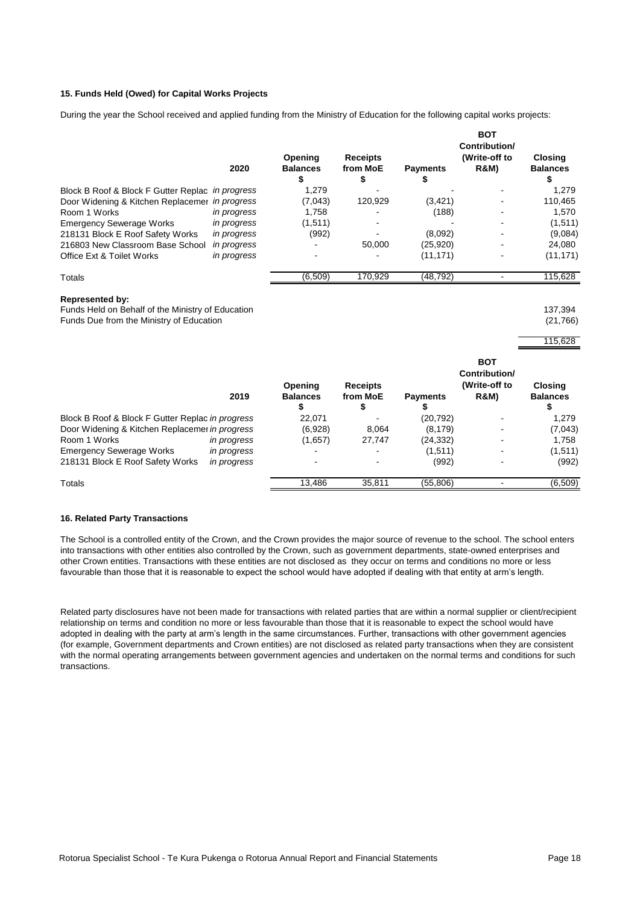#### **15. Funds Held (Owed) for Capital Works Projects**

During the year the School received and applied funding from the Ministry of Education for the following capital works projects:

|                                                  |             | Opening              | <b>Receipts</b> |                 | <b>BOT</b><br>Contribution/<br>(Write-off to | <b>Closing</b>  |
|--------------------------------------------------|-------------|----------------------|-----------------|-----------------|----------------------------------------------|-----------------|
|                                                  | 2020        | <b>Balances</b><br>C | from MoE        | <b>Payments</b> | <b>R&amp;M)</b>                              | <b>Balances</b> |
| Block B Roof & Block F Gutter Replac in progress |             | 1.279                |                 |                 |                                              | 1.279           |
| Door Widening & Kitchen Replacemer in progress   |             | (7,043)              | 120.929         | (3, 421)        |                                              | 110.465         |
| Room 1 Works                                     | in progress | 1,758                |                 | (188)           |                                              | 1,570           |
| <b>Emergency Sewerage Works</b>                  | in progress | (1,511)              |                 |                 |                                              | (1,511)         |
| 218131 Block E Roof Safety Works                 | in progress | (992)                |                 | (8,092)         |                                              | (9,084)         |
| 216803 New Classroom Base School                 | in progress |                      | 50.000          | (25, 920)       |                                              | 24.080          |
| Office Ext & Toilet Works                        | in progress |                      |                 | (11, 171)       |                                              | (11, 171)       |
| Totals                                           |             | (6,509)              | 170,929         | (48, 792)       |                                              | 115,628         |

#### **Represented by:**

Funds Held on Behalf of the Ministry of Education 137,394 Funds Due from the Ministry of Education (21,766)

115,628

**BOT** 

|                                                  | 2019        | Opening<br><b>Balances</b> | <b>Receipts</b><br>from MoE | <b>Payments</b> | ---<br>Contribution/<br>(Write-off to<br><b>R&amp;M)</b> | <b>Closing</b><br><b>Balances</b> |
|--------------------------------------------------|-------------|----------------------------|-----------------------------|-----------------|----------------------------------------------------------|-----------------------------------|
| Block B Roof & Block F Gutter Replac in progress |             | Φ<br>22.071                |                             | (20, 792)       |                                                          | 1.279                             |
| Door Widening & Kitchen Replacemer in progress   |             | (6,928)                    | 8.064                       | (8, 179)        | $\blacksquare$                                           | (7,043)                           |
| Room 1 Works                                     | in progress | (1,657)                    | 27,747                      | (24, 332)       | $\overline{\phantom{0}}$                                 | 1.758                             |
| <b>Emergency Sewerage Works</b>                  | in progress | $\overline{\phantom{0}}$   |                             | (1,511)         | $\blacksquare$                                           | (1,511)                           |
| 218131 Block E Roof Safety Works                 | in progress |                            |                             | (992)           |                                                          | (992)                             |
| Totals                                           |             | 13,486                     | 35,811                      | (55,806)        |                                                          | (6,509)                           |

#### **16. Related Party Transactions**

The School is a controlled entity of the Crown, and the Crown provides the major source of revenue to the school. The school enters into transactions with other entities also controlled by the Crown, such as government departments, state-owned enterprises and other Crown entities. Transactions with these entities are not disclosed as they occur on terms and conditions no more or less favourable than those that it is reasonable to expect the school would have adopted if dealing with that entity at arm's length.

Related party disclosures have not been made for transactions with related parties that are within a normal supplier or client/recipient relationship on terms and condition no more or less favourable than those that it is reasonable to expect the school would have adopted in dealing with the party at arm's length in the same circumstances. Further, transactions with other government agencies (for example, Government departments and Crown entities) are not disclosed as related party transactions when they are consistent with the normal operating arrangements between government agencies and undertaken on the normal terms and conditions for such transactions.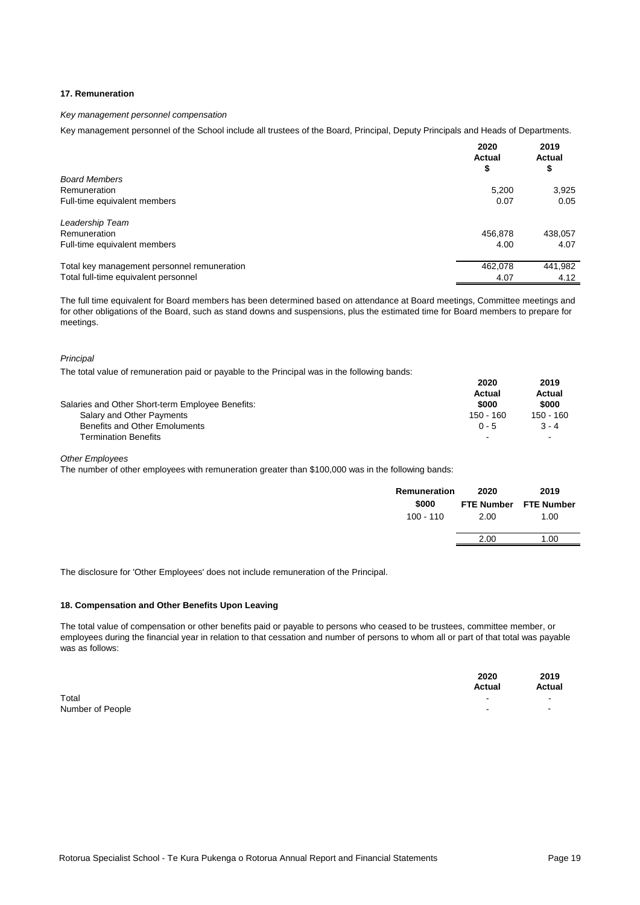#### **17. Remuneration**

#### *Key management personnel compensation*

Key management personnel of the School include all trustees of the Board, Principal, Deputy Principals and Heads of Departments.

|                                             | 2020<br><b>Actual</b><br>\$ | 2019<br><b>Actual</b><br>\$ |
|---------------------------------------------|-----------------------------|-----------------------------|
| <b>Board Members</b>                        |                             |                             |
| Remuneration                                | 5,200                       | 3,925                       |
| Full-time equivalent members                | 0.07                        | 0.05                        |
| Leadership Team                             |                             |                             |
| Remuneration                                | 456,878                     | 438,057                     |
| Full-time equivalent members                | 4.00                        | 4.07                        |
| Total key management personnel remuneration | 462,078                     | 441,982                     |
| Total full-time equivalent personnel        | 4.07                        | 4.12                        |

The full time equivalent for Board members has been determined based on attendance at Board meetings, Committee meetings and for other obligations of the Board, such as stand downs and suspensions, plus the estimated time for Board members to prepare for meetings.

#### *Principal*

The total value of remuneration paid or payable to the Principal was in the following bands:

| Salaries and Other Short-term Employee Benefits: | 2020<br>Actual<br>\$000 | 2019<br>Actual<br>\$000 |
|--------------------------------------------------|-------------------------|-------------------------|
| Salary and Other Payments                        | 150 - 160               | 150 - 160               |
| <b>Benefits and Other Emoluments</b>             | $0 - 5$                 | $3 - 4$                 |
| <b>Termination Benefits</b>                      | $\,$                    | $\,$ $\,$               |

*Other Employees*

The number of other employees with remuneration greater than \$100,000 was in the following bands:

| Remuneration<br>\$000<br>$100 - 110$ | 2020<br>2.00 | 2019<br>FTE Number FTE Number<br>1.00 |
|--------------------------------------|--------------|---------------------------------------|
|                                      | 2.00         | 1.00                                  |
|                                      |              |                                       |

The disclosure for 'Other Employees' does not include remuneration of the Principal.

#### **18. Compensation and Other Benefits Upon Leaving**

The total value of compensation or other benefits paid or payable to persons who ceased to be trustees, committee member, or employees during the financial year in relation to that cessation and number of persons to whom all or part of that total was payable was as follows:

|                  | 2020<br><b>Actual</b> | 2019<br>Actual |
|------------------|-----------------------|----------------|
| Total            | -                     | $\sim$         |
| Number of People |                       | $\sim$         |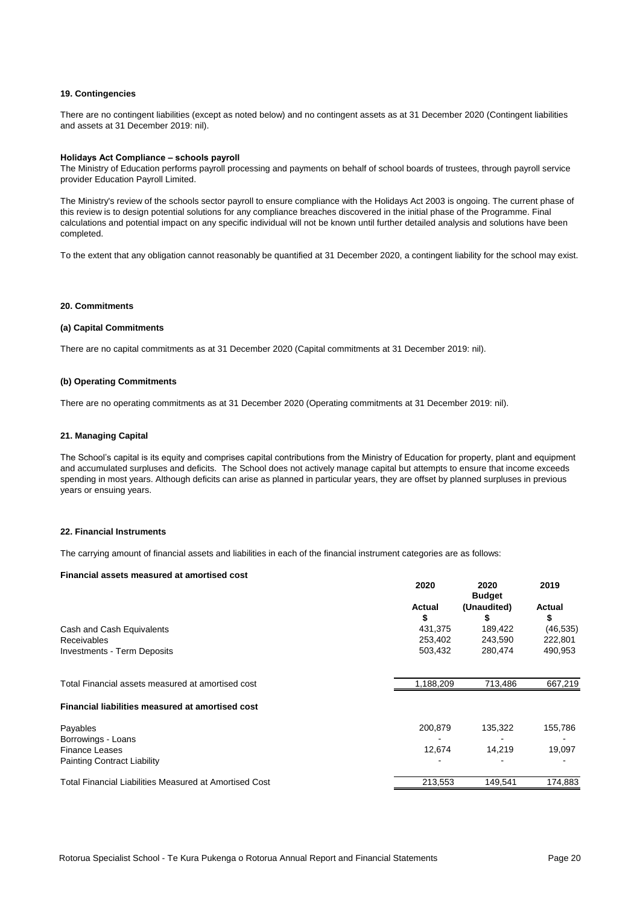#### **19. Contingencies**

There are no contingent liabilities (except as noted below) and no contingent assets as at 31 December 2020 (Contingent liabilities and assets at 31 December 2019: nil).

#### **Holidays Act Compliance – schools payroll**

The Ministry of Education performs payroll processing and payments on behalf of school boards of trustees, through payroll service provider Education Payroll Limited.

The Ministry's review of the schools sector payroll to ensure compliance with the Holidays Act 2003 is ongoing. The current phase of this review is to design potential solutions for any compliance breaches discovered in the initial phase of the Programme. Final calculations and potential impact on any specific individual will not be known until further detailed analysis and solutions have been completed.

To the extent that any obligation cannot reasonably be quantified at 31 December 2020, a contingent liability for the school may exist.

#### **20. Commitments**

#### **(a) Capital Commitments**

There are no capital commitments as at 31 December 2020 (Capital commitments at 31 December 2019: nil).

#### **(b) Operating Commitments**

There are no operating commitments as at 31 December 2020 (Operating commitments at 31 December 2019: nil).

#### **21. Managing Capital**

The School's capital is its equity and comprises capital contributions from the Ministry of Education for property, plant and equipment and accumulated surpluses and deficits. The School does not actively manage capital but attempts to ensure that income exceeds spending in most years. Although deficits can arise as planned in particular years, they are offset by planned surpluses in previous years or ensuing years.

#### **22. Financial Instruments**

The carrying amount of financial assets and liabilities in each of the financial instrument categories are as follows:

#### **Financial assets measured at amortised cost**

|                                                        | 2020          | 2020<br><b>Budget</b> | 2019      |
|--------------------------------------------------------|---------------|-----------------------|-----------|
|                                                        | <b>Actual</b> | (Unaudited)           | Actual    |
|                                                        | \$            | S                     | \$        |
| Cash and Cash Equivalents                              | 431.375       | 189,422               | (46, 535) |
| <b>Receivables</b>                                     | 253.402       | 243,590               | 222,801   |
| <b>Investments - Term Deposits</b>                     | 503,432       | 280,474               | 490,953   |
| Total Financial assets measured at amortised cost      | 1,188,209     | 713,486               | 667,219   |
| Financial liabilities measured at amortised cost       |               |                       |           |
| Payables                                               | 200.879       | 135,322               | 155,786   |
| Borrowings - Loans                                     |               |                       |           |
| <b>Finance Leases</b>                                  | 12,674        | 14.219                | 19,097    |
| <b>Painting Contract Liability</b>                     |               |                       |           |
| Total Financial Liabilities Measured at Amortised Cost | 213,553       | 149,541               | 174,883   |